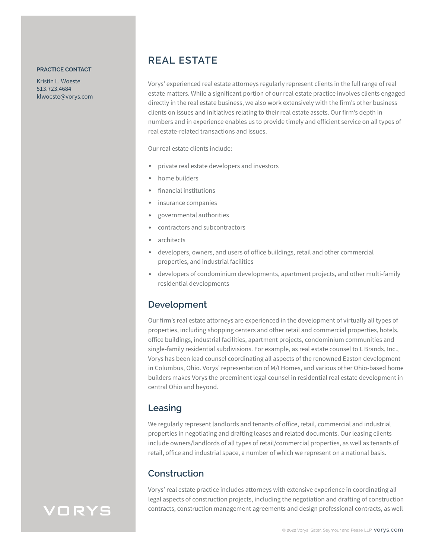#### **PRACTICE CONTACT**

Kristin L. Woeste 513.723.4684 klwoeste@vorys.com

# **REAL ESTATE**

Vorys' experienced real estate attorneys regularly represent clients in the full range of real estate matters. While a significant portion of our real estate practice involves clients engaged directly in the real estate business, we also work extensively with the firm's other business clients on issues and initiatives relating to their real estate assets. Our firm's depth in numbers and in experience enables us to provide timely and efficient service on all types of real estate-related transactions and issues.

Our real estate clients include:

- private real estate developers and investors
- home builders
- financial institutions
- insurance companies
- governmental authorities
- contractors and subcontractors
- architects
- developers, owners, and users of office buildings, retail and other commercial properties, and industrial facilities
- developers of condominium developments, apartment projects, and other multi-family residential developments

#### **Development**

Our firm's real estate attorneys are experienced in the development of virtually all types of properties, including shopping centers and other retail and commercial properties, hotels, office buildings, industrial facilities, apartment projects, condominium communities and single-family residential subdivisions. For example, as real estate counsel to L Brands, Inc., Vorys has been lead counsel coordinating all aspects of the renowned Easton development in Columbus, Ohio. Vorys' representation of M/I Homes, and various other Ohio-based home builders makes Vorys the preeminent legal counsel in residential real estate development in central Ohio and beyond.

#### **Leasing**

We regularly represent landlords and tenants of office, retail, commercial and industrial properties in negotiating and drafting leases and related documents. Our leasing clients include owners/landlords of all types of retail/commercial properties, as well as tenants of retail, office and industrial space, a number of which we represent on a national basis.

#### **Construction**

Vorys' real estate practice includes attorneys with extensive experience in coordinating all legal aspects of construction projects, including the negotiation and drafting of construction contracts, construction management agreements and design professional contracts, as well

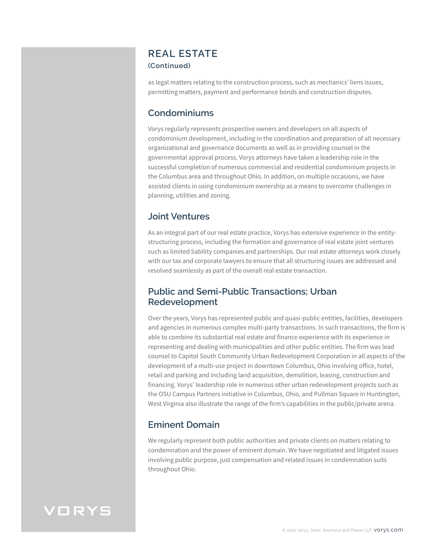#### **REAL ESTATE (Continued)**

as legal matters relating to the construction process, such as mechanics' liens issues, permitting matters, payment and performance bonds and construction disputes.

#### **Condominiums**

Vorys regularly represents prospective owners and developers on all aspects of condominium development, including in the coordination and preparation of all necessary organizational and governance documents as well as in providing counsel in the governmental approval process. Vorys attorneys have taken a leadership role in the successful completion of numerous commercial and residential condominium projects in the Columbus area and throughout Ohio. In addition, on multiple occasions, we have assisted clients in using condominium ownership as a means to overcome challenges in planning, utilities and zoning.

#### **Joint Ventures**

As an integral part of our real estate practice, Vorys has extensive experience in the entitystructuring process, including the formation and governance of real estate joint ventures such as limited liability companies and partnerships. Our real estate attorneys work closely with our tax and corporate lawyers to ensure that all structuring issues are addressed and resolved seamlessly as part of the overall real estate transaction.

#### **Public and Semi-Public Transactions; Urban Redevelopment**

Over the years, Vorys has represented public and quasi-public entities, facilities, developers and agencies in numerous complex multi-party transactions. In such transactions, the firm is able to combine its substantial real estate and finance experience with its experience in representing and dealing with municipalities and other public entities. The firm was lead counsel to Capitol South Community Urban Redevelopment Corporation in all aspects of the development of a multi-use project in downtown Columbus, Ohio involving office, hotel, retail and parking and including land acquisition, demolition, leasing, construction and financing. Vorys' leadership role in numerous other urban redevelopment projects such as the OSU Campus Partners initiative in Columbus, Ohio, and Pullman Square in Huntington, West Virginia also illustrate the range of the firm's capabilities in the public/private arena.

### **Eminent Domain**

We regularly represent both public authorities and private clients on matters relating to condemnation and the power of eminent domain. We have negotiated and litigated issues involving public purpose, just compensation and related issues in condemnation suits throughout Ohio.

# VORYS